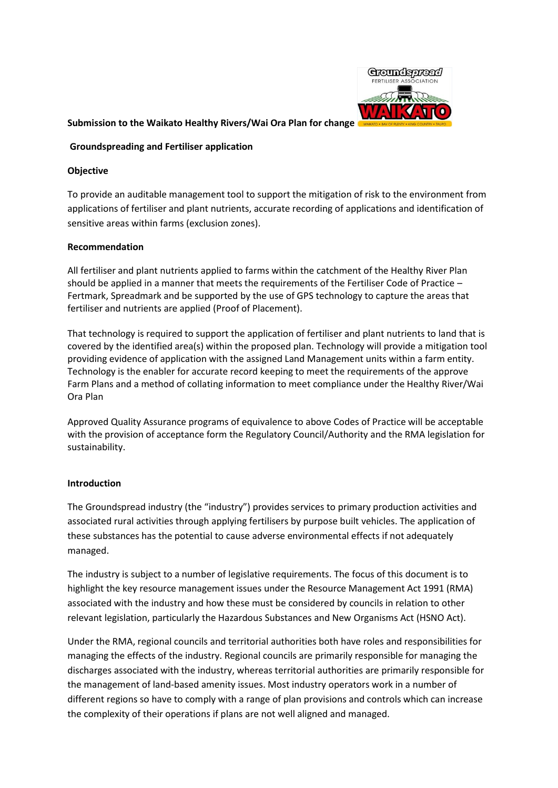

## **Submission to the Waikato Healthy Rivers/Wai Ora Plan for change**

## **[Groundspreading](http://www.qualityplanning.org.nz/index.php/planning-tools/agricultural-and-rural-aviation) and Fertiliser application**

## **Objective**

To provide an auditable management tool to support the mitigation of risk to the environment from applications of fertiliser and plant nutrients, accurate recording of applications and identification of sensitive areas within farms (exclusion zones).

## **Recommendation**

All fertiliser and plant nutrients applied to farms within the catchment of the Healthy River Plan should be applied in a manner that meets the requirements of the Fertiliser Code of Practice – Fertmark, Spreadmark and be supported by the use of GPS technology to capture the areas that fertiliser and nutrients are applied (Proof of Placement).

That technology is required to support the application of fertiliser and plant nutrients to land that is covered by the identified area(s) within the proposed plan. Technology will provide a mitigation tool providing evidence of application with the assigned Land Management units within a farm entity. Technology is the enabler for accurate record keeping to meet the requirements of the approve Farm Plans and a method of collating information to meet compliance under the Healthy River/Wai Ora Plan

Approved Quality Assurance programs of equivalence to above Codes of Practice will be acceptable with the provision of acceptance form the Regulatory Council/Authority and the RMA legislation for sustainability.

## **Introduction**

The Groundspread industry (the "industry") provides services to primary production activities and associated rural activities through applying fertilisers by purpose built vehicles. The application of these substances has the potential to cause adverse environmental effects if not adequately managed.

The industry is subject to a number of legislative requirements. The focus of this document is to highlight the key resource management issues under the Resource Management Act 1991 (RMA) associated with the industry and how these must be considered by councils in relation to other relevant legislation, particularly the Hazardous Substances and New Organisms Act (HSNO Act).

Under the RMA, regional councils and territorial authorities both have roles and responsibilities for managing the effects of the industry. Regional councils are primarily responsible for managing the discharges associated with the industry, whereas territorial authorities are primarily responsible for the management of land-based amenity issues. Most industry operators work in a number of different regions so have to comply with a range of plan provisions and controls which can increase the complexity of their operations if plans are not well aligned and managed.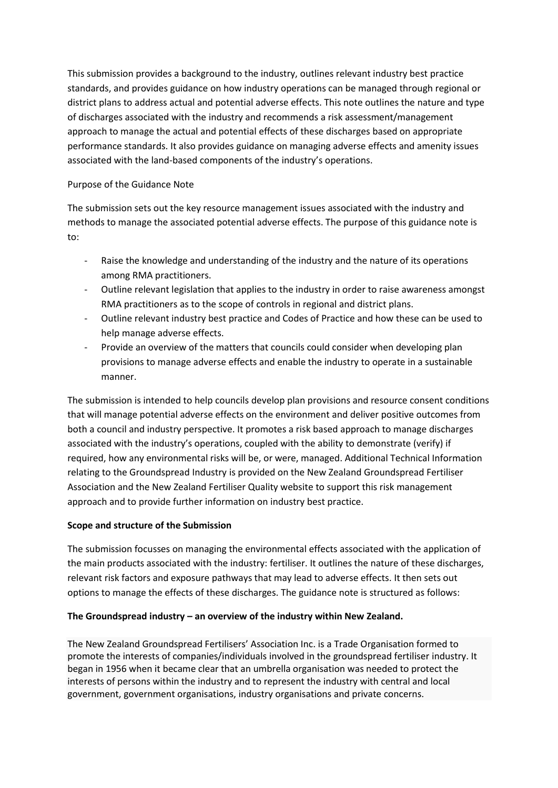This submission provides a background to the industry, outlines relevant industry best practice standards, and provides guidance on how industry operations can be managed through regional or district plans to address actual and potential adverse effects. This note outlines the nature and type of discharges associated with the industry and recommends a risk assessment/management approach to manage the actual and potential effects of these discharges based on appropriate performance standards. It also provides guidance on managing adverse effects and amenity issues associated with the land-based components of the industry's operations.

# Purpose of the Guidance Note

The submission sets out the key resource management issues associated with the industry and methods to manage the associated potential adverse effects. The purpose of this guidance note is to:

- Raise the knowledge and understanding of the industry and the nature of its operations among RMA practitioners.
- Outline relevant legislation that applies to the industry in order to raise awareness amongst RMA practitioners as to the scope of controls in regional and district plans.
- Outline relevant industry best practice and Codes of Practice and how these can be used to help manage adverse effects.
- Provide an overview of the matters that councils could consider when developing plan provisions to manage adverse effects and enable the industry to operate in a sustainable manner.

The submission is intended to help councils develop plan provisions and resource consent conditions that will manage potential adverse effects on the environment and deliver positive outcomes from both a council and industry perspective. It promotes a risk based approach to manage discharges associated with the industry's operations, coupled with the ability to demonstrate (verify) if required, how any environmental risks will be, or were, managed. Additiona[l Technical Information](http://www.aia.org.nz/site/aianz/TECHNICAL%20INFORMATION%20TO%20SUPPORT%20GUIDANCE%20NOTE%20Jan%202014%20_2_.pdf)  [relating to the Groundspread Industry](http://www.aia.org.nz/site/aianz/TECHNICAL%20INFORMATION%20TO%20SUPPORT%20GUIDANCE%20NOTE%20Jan%202014%20_2_.pdf) is provided on the New Zealand Groundspread Fertiliser Association and the New Zealand Fertiliser Quality website to support this risk management approach and to provide further information on industry best practice.

# **Scope and structure of the Submission**

The submission focusses on managing the environmental effects associated with the application of the main products associated with the industry: fertiliser. It outlines the nature of these discharges, relevant risk factors and exposure pathways that may lead to adverse effects. It then sets out options to manage the effects of these discharges. The guidance note is structured as follows:

## **[The Groundspread](http://www.qualityplanning.org.nz/index.php/planning-tools/agricultural-and-rural-aviation/the-agricultural-aviation-industry) industry – an overview of the industry within New Zealand.**

The New Zealand Groundspread Fertilisers' Association Inc. is a Trade Organisation formed to promote the interests of companies/individuals involved in the groundspread fertiliser industry. It began in 1956 when it became clear that an umbrella organisation was needed to protect the interests of persons within the industry and to represent the industry with central and local government, government organisations, industry organisations and private concerns.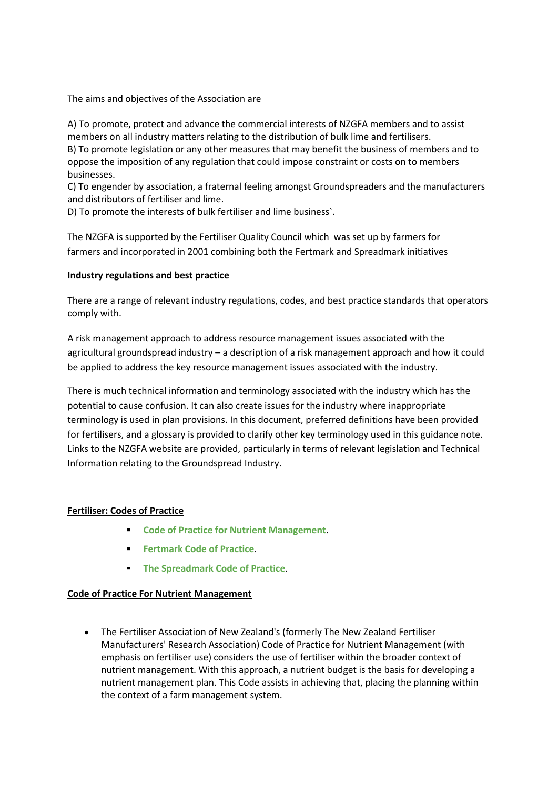The aims and objectives of the Association are

A) To promote, protect and advance the commercial interests of NZGFA members and to assist members on all industry matters relating to the distribution of bulk lime and fertilisers. B) To promote legislation or any other measures that may benefit the business of members and to oppose the imposition of any regulation that could impose constraint or costs on to members businesses.

C) To engender by association, a fraternal feeling amongst Groundspreaders and the manufacturers and distributors of fertiliser and lime.

D) To promote the interests of bulk fertiliser and lime business`.

The NZGFA is supported by the Fertiliser Quality Council which was set up by farmers for farmers and incorporated in 2001 combining both the [Fertmark](http://fertqual.co.nz/understanding-the-marks/fertmark/) and [Spreadmark](http://fertqual.co.nz/understanding-the-marks/spreadmark/) initiatives

## **Industry regulations and best practice**

There are a range of relevant industry regulations, codes, and best practice standards that operators comply with.

[A risk management approach to address resource management issues associated with the](http://www.qualityplanning.org.nz/index.php/planning-tools/agricultural-and-rural-aviation/a-risk-management-approach-to-address-resource-management-issues-associated-with-the-agricultural-aviation-industry)  [agricultural groundspread](http://www.qualityplanning.org.nz/index.php/planning-tools/agricultural-and-rural-aviation/a-risk-management-approach-to-address-resource-management-issues-associated-with-the-agricultural-aviation-industry) industry – a description of a risk management approach and how it could be applied to address the key resource management issues associated with the industry.

There is much technical information and terminology associated with the industry which has the potential to cause confusion. It can also create issues for the industry where inappropriate terminology is used in plan provisions. In this document, preferred definitions have been provided fo[r fertilisers,](http://www.qualityplanning.org.nz/index.php/planning-tools/agricultural-and-rural-aviation/managing-discharges-from-the-industry-operations#FertiliserDefinitions) and [a glossary](http://www.qualityplanning.org.nz/index.php/planning-tools/agricultural-and-rural-aviation/use-of-land-for-agricultural-aviation-activities-and-managing-reverse-sensitivity-arising-from-aircraft-operations#Glossary) is provided to clarify other key terminology used in this guidance note. Links to the NZGFA [website](http://www.aia.org.nz/Divisions/NZAAA.html) are provided, particularly in terms of relevant legislation and [Technical](http://www.aia.org.nz/site/aianz/TECHNICAL%20INFORMATION%20TO%20SUPPORT%20GUIDANCE%20NOTE%20Jan%202014%20_2_.pdf)  [Information relating to the Groundspread Industry.](http://www.aia.org.nz/site/aianz/TECHNICAL%20INFORMATION%20TO%20SUPPORT%20GUIDANCE%20NOTE%20Jan%202014%20_2_.pdf)

## **Fertiliser: Codes of Practice**

- **[Code of Practice for Nutrient Management](http://www.fertiliser.org.nz/Site/code_of_practice/default.aspx)**.
- **[Fertmark Code of Practice](http://www.fertqual.co.nz/files/downloads/fertmarkcodeofpractice.pdf).**
- **[The Spreadmark Code of Practice](http://www.fertqual.co.nz/files/downloads/spreadmarkcodeofpractice.pdf)**.

## **Code of Practice For Nutrient Management**

 The Fertiliser Association of New Zealand's (formerly The New Zealand Fertiliser Manufacturers' Research Association) Code of Practice for Nutrient Management (with emphasis on fertiliser use) considers the use of fertiliser within the broader context of nutrient management. With this approach, a nutrient budget is the basis for developing a nutrient management plan. This Code assists in achieving that, placing the planning within the context of a farm management system.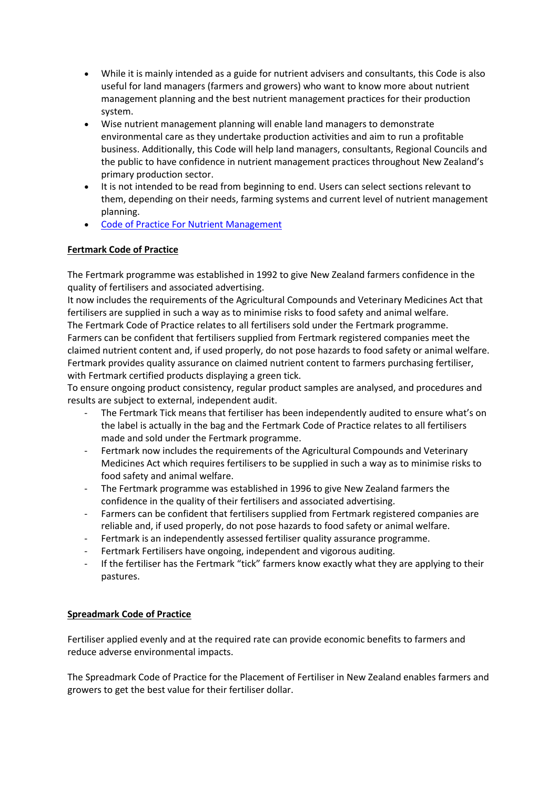- While it is mainly intended as a guide for nutrient advisers and consultants, this Code is also useful for land managers (farmers and growers) who want to know more about nutrient management planning and the best nutrient management practices for their production system.
- Wise nutrient management planning will enable land managers to demonstrate environmental care as they undertake production activities and aim to run a profitable business. Additionally, this Code will help land managers, consultants, Regional Councils and the public to have confidence in nutrient management practices throughout New Zealand's primary production sector.
- It is not intended to be read from beginning to end. Users can select sections relevant to them, depending on their needs, farming systems and current level of nutrient management planning.
- [Code of Practice For Nutrient Management](http://www.fertiliser.org.nz/includes/download.aspx?ID=133360)

# **Fertmark Code of Practice**

The Fertmark programme was established in 1992 to give New Zealand farmers confidence in the quality of fertilisers and associated advertising.

It now includes the requirements of the Agricultural Compounds and Veterinary Medicines Act that fertilisers are supplied in such a way as to minimise risks to food safety and animal welfare. The Fertmark Code of Practice relates to all fertilisers sold under the Fertmark programme. Farmers can be confident that fertilisers supplied from Fertmark registered companies meet the claimed nutrient content and, if used properly, do not pose hazards to food safety or animal welfare. Fertmark provides quality assurance on claimed nutrient content to farmers purchasing fertiliser, with Fertmark certified products displaying a green tick.

To ensure ongoing product consistency, regular product samples are analysed, and procedures and results are subject to external, independent audit.

- The Fertmark Tick means that fertiliser has been independently audited to ensure what's on the label is actually in the bag and the Fertmark Code of Practice relates to all fertilisers made and sold under the Fertmark programme.
- Fertmark now includes the requirements of the Agricultural Compounds and Veterinary Medicines Act which requires fertilisers to be supplied in such a way as to minimise risks to food safety and animal welfare.
- The Fertmark programme was established in 1996 to give New Zealand farmers the confidence in the quality of their fertilisers and associated advertising.
- Farmers can be confident that fertilisers supplied from Fertmark registered companies are reliable and, if used properly, do not pose hazards to food safety or animal welfare.
- Fertmark is an independently assessed fertiliser quality assurance programme.
- Fertmark Fertilisers have ongoing, independent and vigorous auditing.
- If the fertiliser has the Fertmark "tick" farmers know exactly what they are applying to their pastures.

# **Spreadmark Code of Practice**

Fertiliser applied evenly and at the required rate can provide economic benefits to farmers and reduce adverse environmental impacts.

The Spreadmark Code of Practice for the Placement of Fertiliser in New Zealand enables farmers and growers to get the best value for their fertiliser dollar.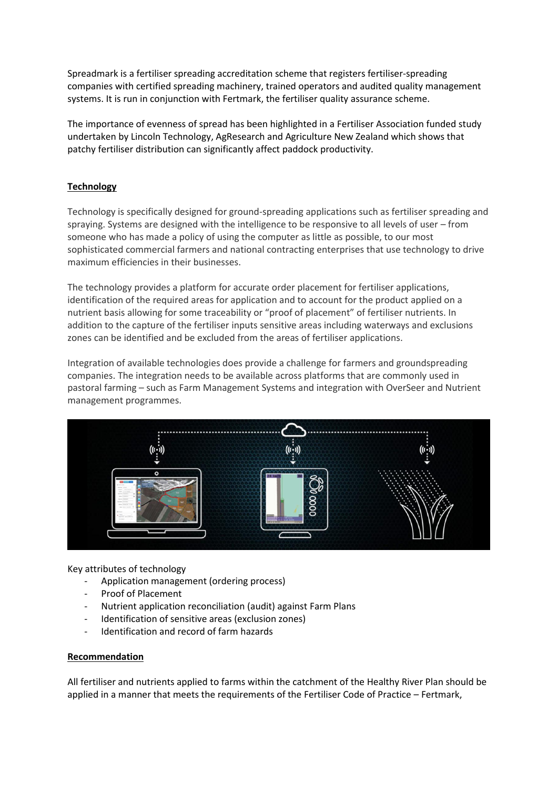Spreadmark is a fertiliser spreading accreditation scheme that registers fertiliser-spreading companies with certified spreading machinery, trained operators and audited quality management systems. It is run in conjunction with Fertmark, the fertiliser quality assurance scheme.

The importance of evenness of spread has been highlighted in a Fertiliser Association funded study undertaken by Lincoln Technology, AgResearch and Agriculture New Zealand which shows that patchy fertiliser distribution can significantly affect paddock productivity.

# **Technology**

Technology is specifically designed for ground-spreading applications such as fertiliser spreading and spraying. Systems are designed with the intelligence to be responsive to all levels of user – from someone who has made a policy of using the computer as little as possible, to our most sophisticated commercial farmers and national contracting enterprises that use technology to drive maximum efficiencies in their businesses.

The technology provides a platform for accurate order placement for fertiliser applications, identification of the required areas for application and to account for the product applied on a nutrient basis allowing for some traceability or "proof of placement" of fertiliser nutrients. In addition to the capture of the fertiliser inputs sensitive areas including waterways and exclusions zones can be identified and be excluded from the areas of fertiliser applications.

Integration of available technologies does provide a challenge for farmers and groundspreading companies. The integration needs to be available across platforms that are commonly used in pastoral farming – such as Farm Management Systems and integration with OverSeer and Nutrient management programmes.



Key attributes of technology

- Application management (ordering process)
- Proof of Placement
- Nutrient application reconciliation (audit) against Farm Plans
- Identification of sensitive areas (exclusion zones)
- Identification and record of farm hazards

## **Recommendation**

All fertiliser and nutrients applied to farms within the catchment of the Healthy River Plan should be applied in a manner that meets the requirements of the Fertiliser Code of Practice – Fertmark,